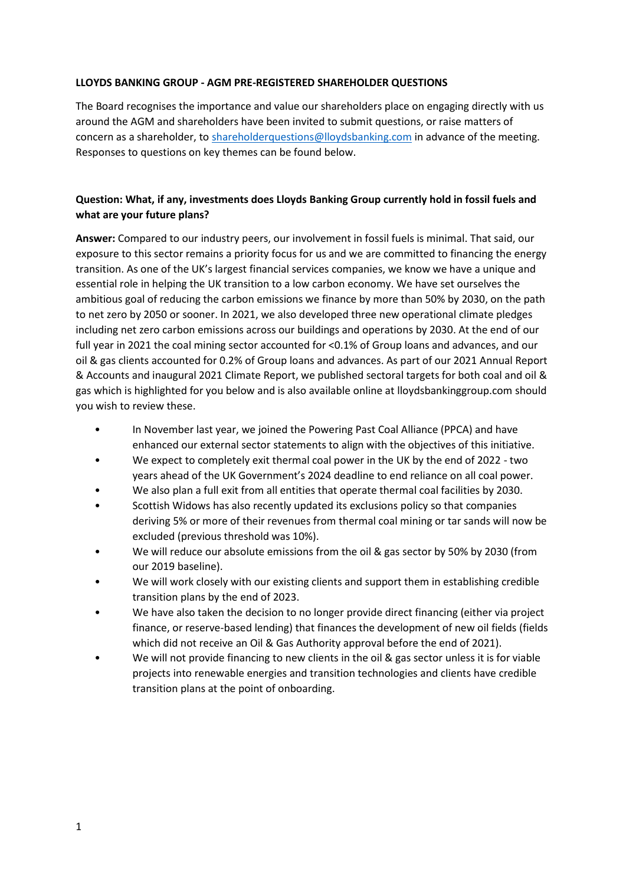#### **LLOYDS BANKING GROUP - AGM PRE-REGISTERED SHAREHOLDER QUESTIONS**

The Board recognises the importance and value our shareholders place on engaging directly with us around the AGM and shareholders have been invited to submit questions, or raise matters of concern as a shareholder, to [shareholderquestions@lloydsbanking.com](mailto:shareholderquestions@lloydsbanking.com) in advance of the meeting. Responses to questions on key themes can be found below.

# **Question: What, if any, investments does Lloyds Banking Group currently hold in fossil fuels and what are your future plans?**

**Answer:** Compared to our industry peers, our involvement in fossil fuels is minimal. That said, our exposure to this sector remains a priority focus for us and we are committed to financing the energy transition. As one of the UK's largest financial services companies, we know we have a unique and essential role in helping the UK transition to a low carbon economy. We have set ourselves the ambitious goal of reducing the carbon emissions we finance by more than 50% by 2030, on the path to net zero by 2050 or sooner. In 2021, we also developed three new operational climate pledges including net zero carbon emissions across our buildings and operations by 2030. At the end of our full year in 2021 the coal mining sector accounted for <0.1% of Group loans and advances, and our oil & gas clients accounted for 0.2% of Group loans and advances. As part of our 2021 Annual Report & Accounts and inaugural 2021 Climate Report, we published sectoral targets for both coal and oil & gas which is highlighted for you below and is also available online at lloydsbankinggroup.com should you wish to review these.

- In November last year, we joined the Powering Past Coal Alliance (PPCA) and have enhanced our external sector statements to align with the objectives of this initiative.
- We expect to completely exit thermal coal power in the UK by the end of 2022 two years ahead of the UK Government's 2024 deadline to end reliance on all coal power.
- We also plan a full exit from all entities that operate thermal coal facilities by 2030.
- Scottish Widows has also recently updated its exclusions policy so that companies deriving 5% or more of their revenues from thermal coal mining or tar sands will now be excluded (previous threshold was 10%).
- We will reduce our absolute emissions from the oil & gas sector by 50% by 2030 (from our 2019 baseline).
- We will work closely with our existing clients and support them in establishing credible transition plans by the end of 2023.
- We have also taken the decision to no longer provide direct financing (either via project finance, or reserve-based lending) that finances the development of new oil fields (fields which did not receive an Oil & Gas Authority approval before the end of 2021).
- We will not provide financing to new clients in the oil & gas sector unless it is for viable projects into renewable energies and transition technologies and clients have credible transition plans at the point of onboarding.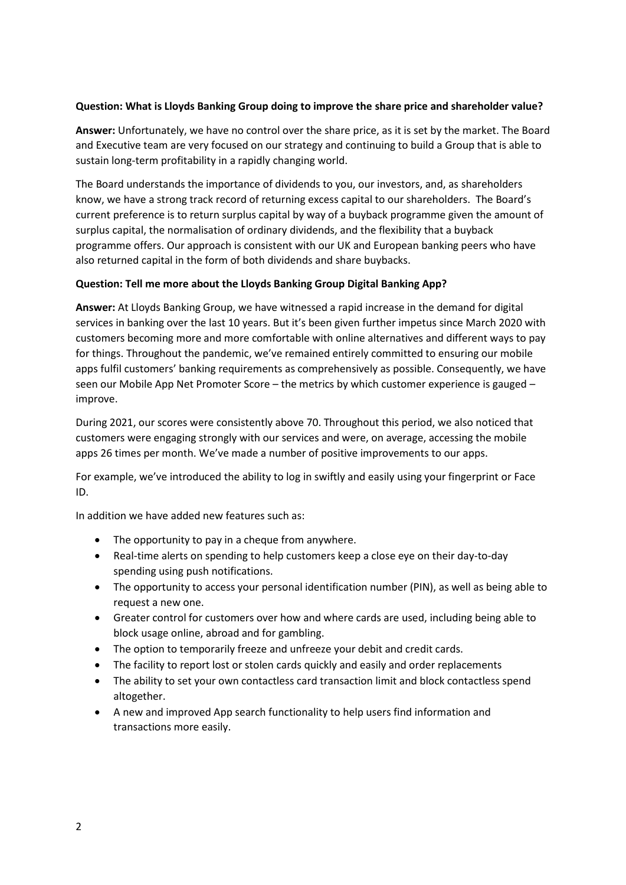### **Question: What is Lloyds Banking Group doing to improve the share price and shareholder value?**

**Answer:** Unfortunately, we have no control over the share price, as it is set by the market. The Board and Executive team are very focused on our strategy and continuing to build a Group that is able to sustain long-term profitability in a rapidly changing world.

The Board understands the importance of dividends to you, our investors, and, as shareholders know, we have a strong track record of returning excess capital to our shareholders. The Board's current preference is to return surplus capital by way of a buyback programme given the amount of surplus capital, the normalisation of ordinary dividends, and the flexibility that a buyback programme offers. Our approach is consistent with our UK and European banking peers who have also returned capital in the form of both dividends and share buybacks.

### **Question: Tell me more about the Lloyds Banking Group Digital Banking App?**

**Answer:** At Lloyds Banking Group, we have witnessed a rapid increase in the demand for digital services in banking over the last 10 years. But it's been given further impetus since March 2020 with customers becoming more and more comfortable with online alternatives and different ways to pay for things. Throughout the pandemic, we've remained entirely committed to ensuring our mobile apps fulfil customers' banking requirements as comprehensively as possible. Consequently, we have seen our Mobile App Net Promoter Score – the metrics by which customer experience is gauged – improve.

During 2021, our scores were consistently above 70. Throughout this period, we also noticed that customers were engaging strongly with our services and were, on average, accessing the mobile apps 26 times per month. We've made a number of positive improvements to our apps.

For example, we've introduced the ability to log in swiftly and easily using your fingerprint or Face ID.

In addition we have added new features such as:

- The opportunity to pay in a cheque from anywhere.
- Real-time alerts on spending to help customers keep a close eye on their day-to-day spending using push notifications.
- The opportunity to access your personal identification number (PIN), as well as being able to request a new one.
- Greater control for customers over how and where cards are used, including being able to block usage online, abroad and for gambling.
- The option to temporarily freeze and unfreeze your debit and credit cards.
- The facility to report lost or stolen cards quickly and easily and order replacements
- The ability to set your own contactless card transaction limit and block contactless spend altogether.
- A new and improved App search functionality to help users find information and transactions more easily.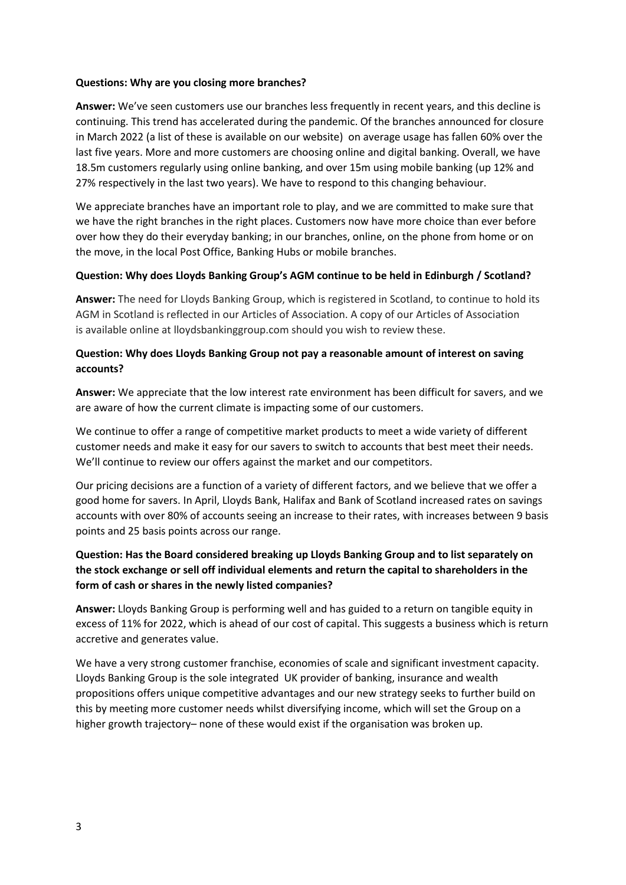#### **Questions: Why are you closing more branches?**

**Answer:** We've seen customers use our branches less frequently in recent years, and this decline is continuing. This trend has accelerated during the pandemic. Of the branches announced for closure in March 2022 (a list of these is available on our website) on average usage has fallen 60% over the last five years. More and more customers are choosing online and digital banking. Overall, we have 18.5m customers regularly using online banking, and over 15m using mobile banking (up 12% and 27% respectively in the last two years). We have to respond to this changing behaviour.

We appreciate branches have an important role to play, and we are committed to make sure that we have the right branches in the right places. Customers now have more choice than ever before over how they do their everyday banking; in our branches, online, on the phone from home or on the move, in the local Post Office, Banking Hubs or mobile branches.

#### **Question: Why does Lloyds Banking Group's AGM continue to be held in Edinburgh / Scotland?**

**Answer:** The need for Lloyds Banking Group, which is registered in Scotland, to continue to hold its AGM in Scotland is reflected in our Articles of Association. A copy of our Articles of Association is available online at lloydsbankinggroup.com should you wish to review these.

### **Question: Why does Lloyds Banking Group not pay a reasonable amount of interest on saving accounts?**

**Answer:** We appreciate that the low interest rate environment has been difficult for savers, and we are aware of how the current climate is impacting some of our customers.

We continue to offer a range of competitive market products to meet a wide variety of different customer needs and make it easy for our savers to switch to accounts that best meet their needs. We'll continue to review our offers against the market and our competitors.

Our pricing decisions are a function of a variety of different factors, and we believe that we offer a good home for savers. In April, Lloyds Bank, Halifax and Bank of Scotland increased rates on savings accounts with over 80% of accounts seeing an increase to their rates, with increases between 9 basis points and 25 basis points across our range.

# **Question: Has the Board considered breaking up Lloyds Banking Group and to list separately on the stock exchange or sell off individual elements and return the capital to shareholders in the form of cash or shares in the newly listed companies?**

**Answer:** Lloyds Banking Group is performing well and has guided to a return on tangible equity in excess of 11% for 2022, which is ahead of our cost of capital. This suggests a business which is return accretive and generates value.

We have a very strong customer franchise, economies of scale and significant investment capacity. Lloyds Banking Group is the sole integrated UK provider of banking, insurance and wealth propositions offers unique competitive advantages and our new strategy seeks to further build on this by meeting more customer needs whilst diversifying income, which will set the Group on a higher growth trajectory– none of these would exist if the organisation was broken up.